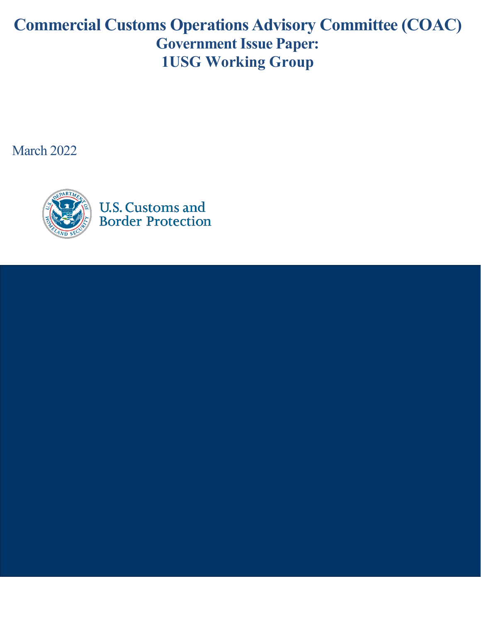# **Commercial Customs Operations Advisory Committee (COAC) Government Issue Paper: 1USG Working Group**

March 2022

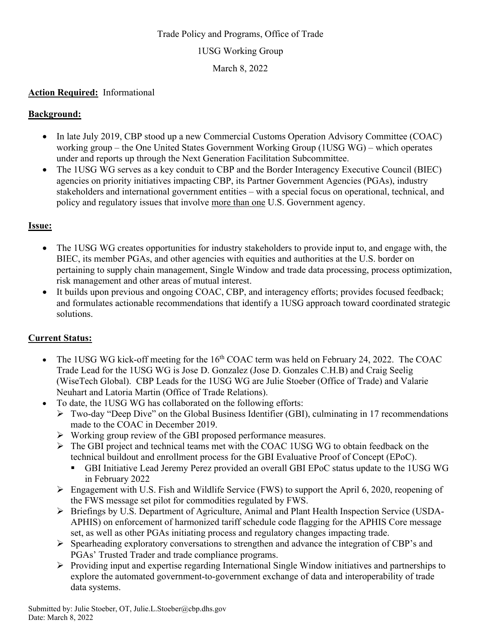## Trade Policy and Programs, Office of Trade 1USG Working Group March 8, 2022

#### **Action Required:** Informational

#### **Background:**

- In late July 2019, CBP stood up a new Commercial Customs Operation Advisory Committee (COAC) working group – the One United States Government Working Group (1USG WG) – which operates under and reports up through the Next Generation Facilitation Subcommittee.
- The 1USG WG serves as a key conduit to CBP and the Border Interagency Executive Council (BIEC) agencies on priority initiatives impacting CBP, its Partner Government Agencies (PGAs), industry stakeholders and international government entities – with a special focus on operational, technical, and policy and regulatory issues that involve more than one U.S. Government agency.

#### **Issue:**

- The 1USG WG creates opportunities for industry stakeholders to provide input to, and engage with, the BIEC, its member PGAs, and other agencies with equities and authorities at the U.S. border on pertaining to supply chain management, Single Window and trade data processing, process optimization, risk management and other areas of mutual interest.
- It builds upon previous and ongoing COAC, CBP, and interagency efforts; provides focused feedback; and formulates actionable recommendations that identify a 1USG approach toward coordinated strategic solutions.

### **Current Status:**

- The 1USG WG kick-off meeting for the  $16<sup>th</sup>$  COAC term was held on February 24, 2022. The COAC Trade Lead for the 1USG WG is Jose D. Gonzalez (Jose D. Gonzales C.H.B) and Craig Seelig (WiseTech Global). CBP Leads for the 1USG WG are Julie Stoeber (Office of Trade) and Valarie Neuhart and Latoria Martin (Office of Trade Relations).
- To date, the 1USG WG has collaborated on the following efforts:
	- $\triangleright$  Two-day "Deep Dive" on the Global Business Identifier (GBI), culminating in 17 recommendations made to the COAC in December 2019.
	- Working group review of the GBI proposed performance measures.
	- $\triangleright$  The GBI project and technical teams met with the COAC 1USG WG to obtain feedback on the technical buildout and enrollment process for the GBI Evaluative Proof of Concept (EPoC).
		- GBI Initiative Lead Jeremy Perez provided an overall GBI EPoC status update to the 1USG WG in February 2022
	- Engagement with U.S. Fish and Wildlife Service (FWS) to support the April 6, 2020, reopening of the FWS message set pilot for commodities regulated by FWS.
	- Briefings by U.S. Department of Agriculture, Animal and Plant Health Inspection Service (USDA-APHIS) on enforcement of harmonized tariff schedule code flagging for the APHIS Core message set, as well as other PGAs initiating process and regulatory changes impacting trade.
	- $\triangleright$  Spearheading exploratory conversations to strengthen and advance the integration of CBP's and PGAs' Trusted Trader and trade compliance programs.
	- $\triangleright$  Providing input and expertise regarding International Single Window initiatives and partnerships to explore the automated government-to-government exchange of data and interoperability of trade data systems.